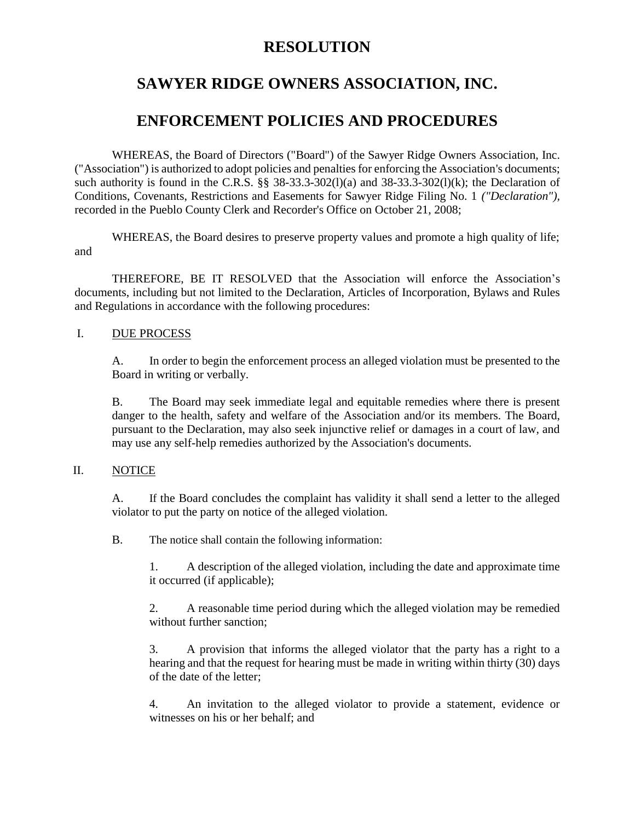## **RESOLUTION**

# **SAWYER RIDGE OWNERS ASSOCIATION, INC.**

## **ENFORCEMENT POLICIES AND PROCEDURES**

WHEREAS, the Board of Directors ("Board") of the Sawyer Ridge Owners Association, Inc. ("Association") is authorized to adopt policies and penalties for enforcing the Association's documents; such authority is found in the C.R.S. §§ 38-33.3-302(1)(a) and 38-33.3-302(1)(k); the Declaration of Conditions, Covenants, Restrictions and Easements for Sawyer Ridge Filing No. 1 *("Declaration"),*  recorded in the Pueblo County Clerk and Recorder's Office on October 21, 2008;

WHEREAS, the Board desires to preserve property values and promote a high quality of life; and

THEREFORE, BE IT RESOLVED that the Association will enforce the Association's documents, including but not limited to the Declaration, Articles of Incorporation, Bylaws and Rules and Regulations in accordance with the following procedures:

### I. DUE PROCESS

A. In order to begin the enforcement process an alleged violation must be presented to the Board in writing or verbally.

B. The Board may seek immediate legal and equitable remedies where there is present danger to the health, safety and welfare of the Association and/or its members. The Board, pursuant to the Declaration, may also seek injunctive relief or damages in a court of law, and may use any self-help remedies authorized by the Association's documents.

## II. NOTICE

A. If the Board concludes the complaint has validity it shall send a letter to the alleged violator to put the party on notice of the alleged violation.

B. The notice shall contain the following information:

1. A description of the alleged violation, including the date and approximate time it occurred (if applicable);

2. A reasonable time period during which the alleged violation may be remedied without further sanction;

3. A provision that informs the alleged violator that the party has a right to a hearing and that the request for hearing must be made in writing within thirty (30) days of the date of the letter;

4. An invitation to the alleged violator to provide a statement, evidence or witnesses on his or her behalf; and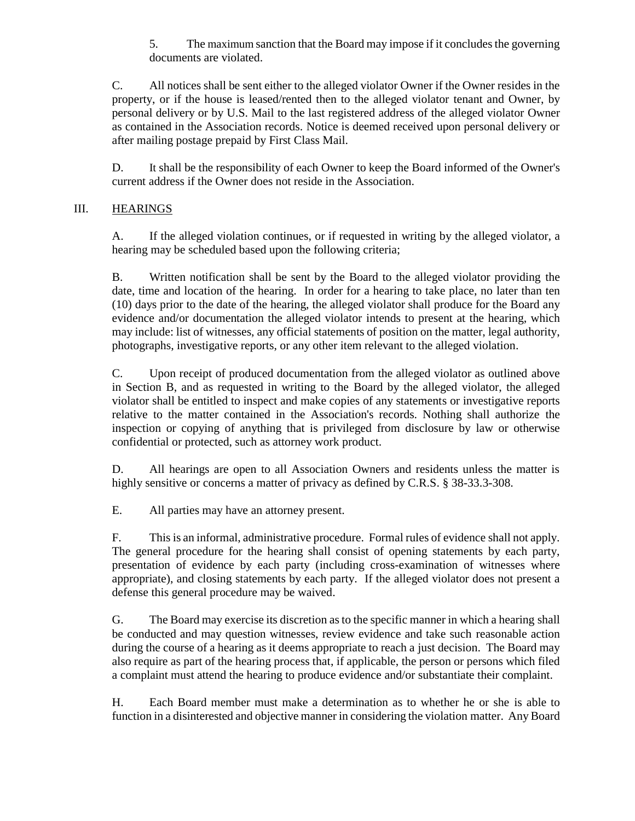5. The maximum sanction that the Board may impose if it concludes the governing documents are violated.

C. All notices shall be sent either to the alleged violator Owner if the Owner resides in the property, or if the house is leased/rented then to the alleged violator tenant and Owner, by personal delivery or by U.S. Mail to the last registered address of the alleged violator Owner as contained in the Association records. Notice is deemed received upon personal delivery or after mailing postage prepaid by First Class Mail.

D. It shall be the responsibility of each Owner to keep the Board informed of the Owner's current address if the Owner does not reside in the Association.

## III. HEARINGS

A. If the alleged violation continues, or if requested in writing by the alleged violator, a hearing may be scheduled based upon the following criteria;

B. Written notification shall be sent by the Board to the alleged violator providing the date, time and location of the hearing. In order for a hearing to take place, no later than ten (10) days prior to the date of the hearing, the alleged violator shall produce for the Board any evidence and/or documentation the alleged violator intends to present at the hearing, which may include: list of witnesses, any official statements of position on the matter, legal authority, photographs, investigative reports, or any other item relevant to the alleged violation.

C. Upon receipt of produced documentation from the alleged violator as outlined above in Section B, and as requested in writing to the Board by the alleged violator, the alleged violator shall be entitled to inspect and make copies of any statements or investigative reports relative to the matter contained in the Association's records. Nothing shall authorize the inspection or copying of anything that is privileged from disclosure by law or otherwise confidential or protected, such as attorney work product.

D. All hearings are open to all Association Owners and residents unless the matter is highly sensitive or concerns a matter of privacy as defined by C.R.S. § 38-33.3-308.

E. All parties may have an attorney present.

F. This is an informal, administrative procedure. Formal rules of evidence shall not apply. The general procedure for the hearing shall consist of opening statements by each party, presentation of evidence by each party (including cross-examination of witnesses where appropriate), and closing statements by each party. If the alleged violator does not present a defense this general procedure may be waived.

G. The Board may exercise its discretion as to the specific manner in which a hearing shall be conducted and may question witnesses, review evidence and take such reasonable action during the course of a hearing as it deems appropriate to reach a just decision. The Board may also require as part of the hearing process that, if applicable, the person or persons which filed a complaint must attend the hearing to produce evidence and/or substantiate their complaint.

H. Each Board member must make a determination as to whether he or she is able to function in a disinterested and objective manner in considering the violation matter. Any Board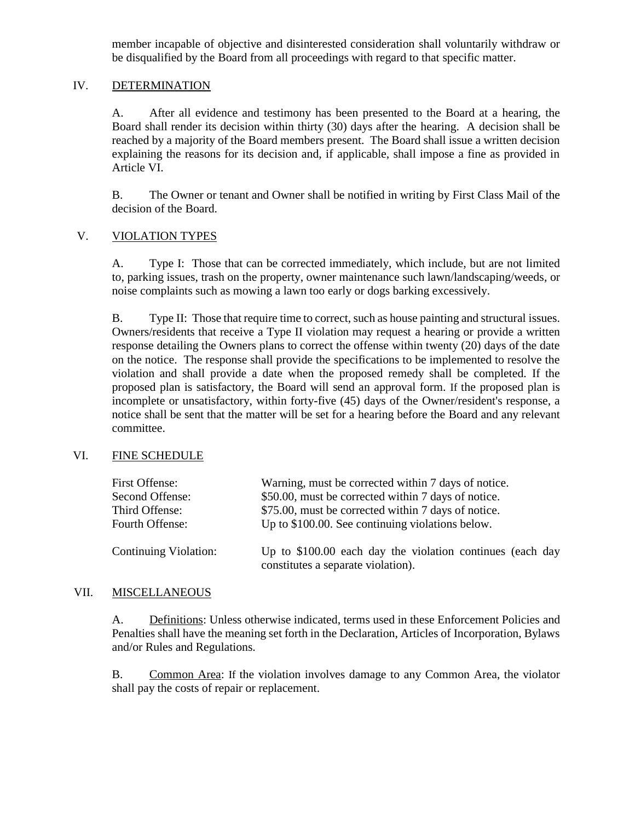member incapable of objective and disinterested consideration shall voluntarily withdraw or be disqualified by the Board from all proceedings with regard to that specific matter.

#### IV. DETERMINATION

A. After all evidence and testimony has been presented to the Board at a hearing, the Board shall render its decision within thirty (30) days after the hearing. A decision shall be reached by a majority of the Board members present. The Board shall issue a written decision explaining the reasons for its decision and, if applicable, shall impose a fine as provided in Article VI.

B. The Owner or tenant and Owner shall be notified in writing by First Class Mail of the decision of the Board.

#### V. **VIOLATION TYPES**

A. Type I: Those that can be corrected immediately, which include, but are not limited to, parking issues, trash on the property, owner maintenance such lawn/landscaping/weeds, or noise complaints such as mowing a lawn too early or dogs barking excessively.

B. Type II: Those that require time to correct, such as house painting and structural issues. Owners/residents that receive a Type II violation may request a hearing or provide a written response detailing the Owners plans to correct the offense within twenty (20) days of the date on the notice. The response shall provide the specifications to be implemented to resolve the violation and shall provide a date when the proposed remedy shall be completed. If the proposed plan is satisfactory, the Board will send an approval form. If the proposed plan is incomplete or unsatisfactory, within forty-five (45) days of the Owner/resident's response, a notice shall be sent that the matter will be set for a hearing before the Board and any relevant committee.

#### VI. FINE SCHEDULE

| First Offense:        | Warning, must be corrected within 7 days of notice.                                             |
|-----------------------|-------------------------------------------------------------------------------------------------|
| Second Offense:       | \$50.00, must be corrected within 7 days of notice.                                             |
| Third Offense:        | \$75.00, must be corrected within 7 days of notice.                                             |
| Fourth Offense:       | Up to \$100.00. See continuing violations below.                                                |
| Continuing Violation: | Up to \$100.00 each day the violation continues (each day<br>constitutes a separate violation). |

#### VII. MISCELLANEOUS

A. Definitions: Unless otherwise indicated, terms used in these Enforcement Policies and Penalties shall have the meaning set forth in the Declaration, Articles of Incorporation, Bylaws and/or Rules and Regulations.

B. Common Area: If the violation involves damage to any Common Area, the violator shall pay the costs of repair or replacement.